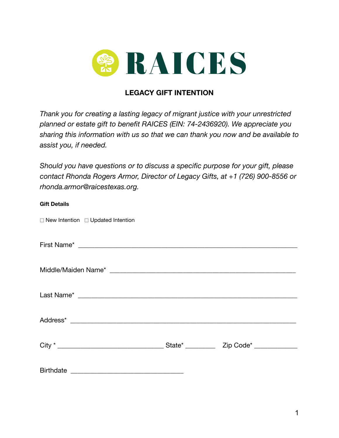

## **LEGACY GIFT INTENTION**

*Thank you for creating a lasting legacy of migrant justice with your unrestricted planned or estate gift to benefit RAICES (EIN: 74-2436920). We appreciate you sharing this information with us so that we can thank you now and be available to assist you, if needed.*

*Should you have questions or to discuss a specific purpose for your gift, please contact Rhonda Rogers Armor, Director of Legacy Gifts, at +1 (726) 900-8556 or rhonda.armor@raicestexas.org.*

| <b>Gift Details</b> |                                 |  |
|---------------------|---------------------------------|--|
|                     | New Intention Updated Intention |  |
|                     |                                 |  |
|                     |                                 |  |
|                     |                                 |  |
|                     |                                 |  |
|                     |                                 |  |
|                     |                                 |  |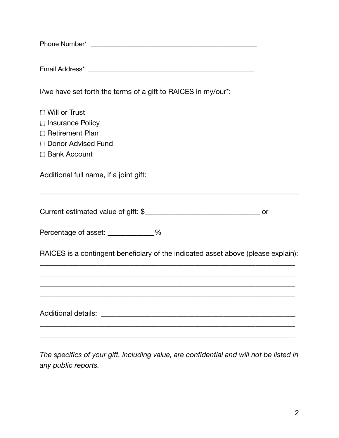| I/we have set forth the terms of a gift to RAICES in my/our*:                     |  |  |  |  |  |  |  |
|-----------------------------------------------------------------------------------|--|--|--|--|--|--|--|
| □ Will or Trust                                                                   |  |  |  |  |  |  |  |
| Insurance Policy                                                                  |  |  |  |  |  |  |  |
| Retirement Plan                                                                   |  |  |  |  |  |  |  |
| □ Donor Advised Fund<br><b>□ Bank Account</b>                                     |  |  |  |  |  |  |  |
|                                                                                   |  |  |  |  |  |  |  |
| Additional full name, if a joint gift:                                            |  |  |  |  |  |  |  |
|                                                                                   |  |  |  |  |  |  |  |
| Percentage of asset: ____________%                                                |  |  |  |  |  |  |  |
| RAICES is a contingent beneficiary of the indicated asset above (please explain): |  |  |  |  |  |  |  |
|                                                                                   |  |  |  |  |  |  |  |
|                                                                                   |  |  |  |  |  |  |  |
|                                                                                   |  |  |  |  |  |  |  |
|                                                                                   |  |  |  |  |  |  |  |

*The specifics of your gift, including value, are confidential and will not be listed in any public reports.*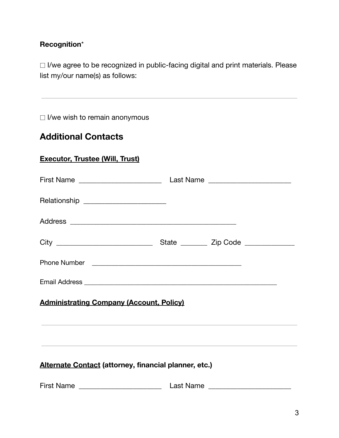## **Recognition**\*

⬚ I/we agree to be recognized in public-facing digital and print materials. Please list my/our name(s) as follows:

⬚ I/we wish to remain anonymous

## **Additional Contacts**

| <b>Executor, Trustee (Will, Trust)</b> |
|----------------------------------------|
|----------------------------------------|

|                                                       |  | State __________ Zip Code ______________ |
|-------------------------------------------------------|--|------------------------------------------|
|                                                       |  |                                          |
|                                                       |  |                                          |
| <b>Administrating Company (Account, Policy)</b>       |  |                                          |
|                                                       |  |                                          |
|                                                       |  |                                          |
| Alternate Contact (attorney, financial planner, etc.) |  |                                          |